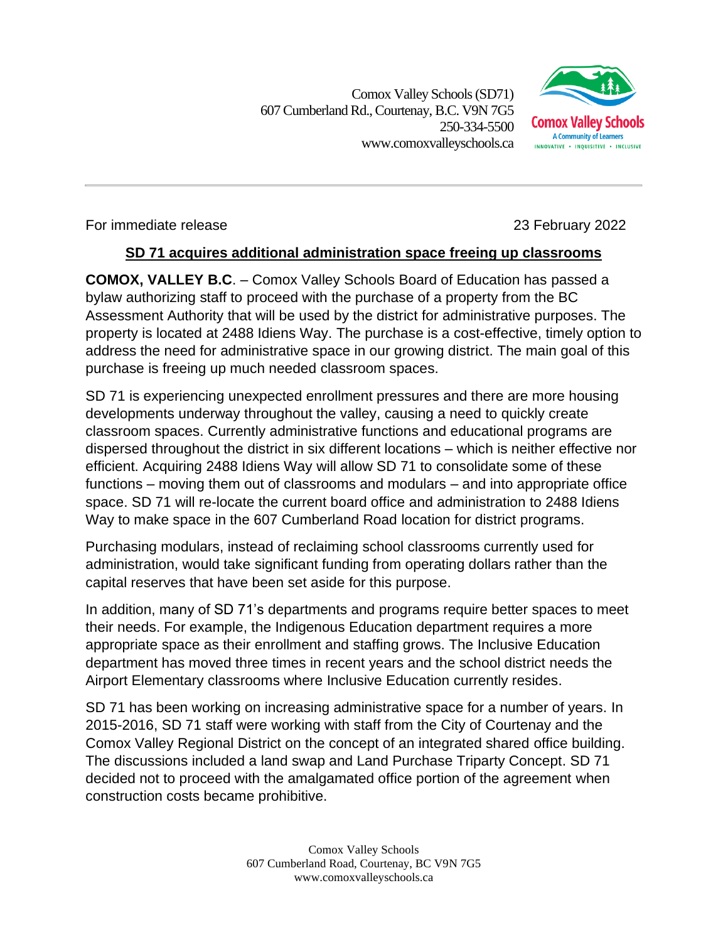Comox Valley Schools (SD71) 607 Cumberland Rd.,Courtenay, B.C. V9N 7G5 250-334-5500 www.comoxvalleyschools.ca



## For immediate release 23 February 2022

## **SD 71 acquires additional administration space freeing up classrooms**

**COMOX, VALLEY B.C**. – Comox Valley Schools Board of Education has passed a bylaw authorizing staff to proceed with the purchase of a property from the BC Assessment Authority that will be used by the district for administrative purposes. The property is located at 2488 Idiens Way. The purchase is a cost-effective, timely option to address the need for administrative space in our growing district. The main goal of this purchase is freeing up much needed classroom spaces.

SD 71 is experiencing unexpected enrollment pressures and there are more housing developments underway throughout the valley, causing a need to quickly create classroom spaces. Currently administrative functions and educational programs are dispersed throughout the district in six different locations – which is neither effective nor efficient. Acquiring 2488 Idiens Way will allow SD 71 to consolidate some of these functions – moving them out of classrooms and modulars – and into appropriate office space. SD 71 will re-locate the current board office and administration to 2488 Idiens Way to make space in the 607 Cumberland Road location for district programs.

Purchasing modulars, instead of reclaiming school classrooms currently used for administration, would take significant funding from operating dollars rather than the capital reserves that have been set aside for this purpose.

In addition, many of SD 71's departments and programs require better spaces to meet their needs. For example, the Indigenous Education department requires a more appropriate space as their enrollment and staffing grows. The Inclusive Education department has moved three times in recent years and the school district needs the Airport Elementary classrooms where Inclusive Education currently resides.

SD 71 has been working on increasing administrative space for a number of years. In 2015-2016, SD 71 staff were working with staff from the City of Courtenay and the Comox Valley Regional District on the concept of an integrated shared office building. The discussions included a land swap and Land Purchase Triparty Concept. SD 71 decided not to proceed with the amalgamated office portion of the agreement when construction costs became prohibitive.